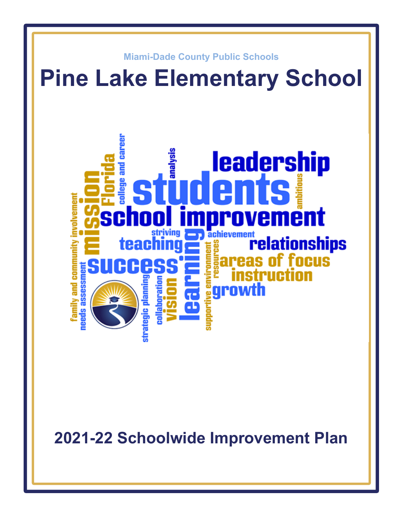

**2021-22 Schoolwide Improvement Plan**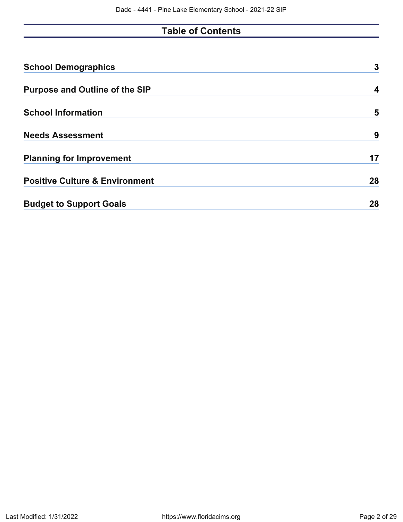# **Table of Contents**

| <b>School Demographics</b>                | 3  |
|-------------------------------------------|----|
| <b>Purpose and Outline of the SIP</b>     | 4  |
| <b>School Information</b>                 | 5  |
| <b>Needs Assessment</b>                   | 9  |
| <b>Planning for Improvement</b>           | 17 |
| <b>Positive Culture &amp; Environment</b> | 28 |
| <b>Budget to Support Goals</b>            | 28 |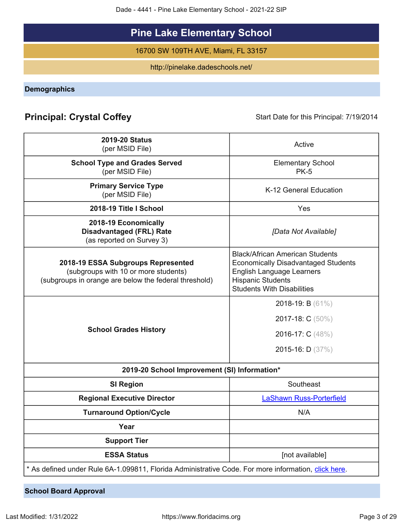Dade - 4441 - Pine Lake Elementary School - 2021-22 SIP

# **Pine Lake Elementary School**

16700 SW 109TH AVE, Miami, FL 33157

http://pinelake.dadeschools.net/

<span id="page-2-0"></span>**Demographics**

# **Principal: Crystal Coffey** Start Date for this Principal: 7/19/2014

| <b>2019-20 Status</b><br>(per MSID File)                                                                                            | Active                                                                                                                                                                                    |  |  |  |  |  |  |  |
|-------------------------------------------------------------------------------------------------------------------------------------|-------------------------------------------------------------------------------------------------------------------------------------------------------------------------------------------|--|--|--|--|--|--|--|
| <b>School Type and Grades Served</b>                                                                                                | <b>Elementary School</b>                                                                                                                                                                  |  |  |  |  |  |  |  |
| (per MSID File)                                                                                                                     | <b>PK-5</b>                                                                                                                                                                               |  |  |  |  |  |  |  |
| <b>Primary Service Type</b><br>(per MSID File)                                                                                      | K-12 General Education                                                                                                                                                                    |  |  |  |  |  |  |  |
| 2018-19 Title I School                                                                                                              | Yes                                                                                                                                                                                       |  |  |  |  |  |  |  |
| 2018-19 Economically<br><b>Disadvantaged (FRL) Rate</b><br>(as reported on Survey 3)                                                | [Data Not Available]                                                                                                                                                                      |  |  |  |  |  |  |  |
| 2018-19 ESSA Subgroups Represented<br>(subgroups with 10 or more students)<br>(subgroups in orange are below the federal threshold) | <b>Black/African American Students</b><br><b>Economically Disadvantaged Students</b><br><b>English Language Learners</b><br><b>Hispanic Students</b><br><b>Students With Disabilities</b> |  |  |  |  |  |  |  |
|                                                                                                                                     | 2018-19: B $(61\%)$<br>2017-18: C (50%)                                                                                                                                                   |  |  |  |  |  |  |  |
| <b>School Grades History</b>                                                                                                        | 2016-17: C (48%)                                                                                                                                                                          |  |  |  |  |  |  |  |
|                                                                                                                                     | 2015-16: D $(37%)$                                                                                                                                                                        |  |  |  |  |  |  |  |
| 2019-20 School Improvement (SI) Information*                                                                                        |                                                                                                                                                                                           |  |  |  |  |  |  |  |
| <b>SI Region</b>                                                                                                                    | Southeast                                                                                                                                                                                 |  |  |  |  |  |  |  |
| <b>Regional Executive Director</b>                                                                                                  | <b>LaShawn Russ-Porterfield</b>                                                                                                                                                           |  |  |  |  |  |  |  |
| <b>Turnaround Option/Cycle</b>                                                                                                      | N/A                                                                                                                                                                                       |  |  |  |  |  |  |  |
| Year                                                                                                                                |                                                                                                                                                                                           |  |  |  |  |  |  |  |
| <b>Support Tier</b>                                                                                                                 |                                                                                                                                                                                           |  |  |  |  |  |  |  |
| <b>ESSA Status</b>                                                                                                                  | [not available]                                                                                                                                                                           |  |  |  |  |  |  |  |
| * As defined under Rule 6A-1.099811, Florida Administrative Code. For more information, click here.                                 |                                                                                                                                                                                           |  |  |  |  |  |  |  |

**School Board Approval**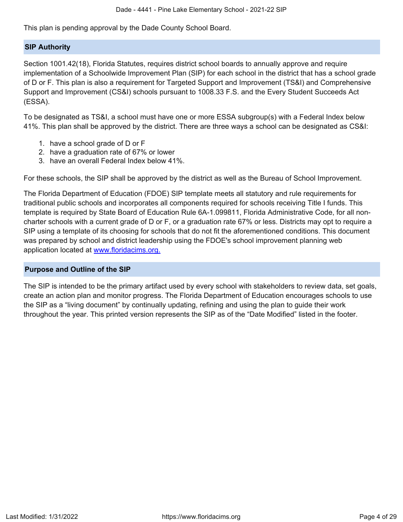This plan is pending approval by the Dade County School Board.

## **SIP Authority**

Section 1001.42(18), Florida Statutes, requires district school boards to annually approve and require implementation of a Schoolwide Improvement Plan (SIP) for each school in the district that has a school grade of D or F. This plan is also a requirement for Targeted Support and Improvement (TS&I) and Comprehensive Support and Improvement (CS&I) schools pursuant to 1008.33 F.S. and the Every Student Succeeds Act (ESSA).

To be designated as TS&I, a school must have one or more ESSA subgroup(s) with a Federal Index below 41%. This plan shall be approved by the district. There are three ways a school can be designated as CS&I:

- 1. have a school grade of D or F
- 2. have a graduation rate of 67% or lower
- 3. have an overall Federal Index below 41%.

For these schools, the SIP shall be approved by the district as well as the Bureau of School Improvement.

The Florida Department of Education (FDOE) SIP template meets all statutory and rule requirements for traditional public schools and incorporates all components required for schools receiving Title I funds. This template is required by State Board of Education Rule 6A-1.099811, Florida Administrative Code, for all noncharter schools with a current grade of D or F, or a graduation rate 67% or less. Districts may opt to require a SIP using a template of its choosing for schools that do not fit the aforementioned conditions. This document was prepared by school and district leadership using the FDOE's school improvement planning web application located at [www.floridacims.org.](https://www.floridacims.org)

## <span id="page-3-0"></span>**Purpose and Outline of the SIP**

The SIP is intended to be the primary artifact used by every school with stakeholders to review data, set goals, create an action plan and monitor progress. The Florida Department of Education encourages schools to use the SIP as a "living document" by continually updating, refining and using the plan to guide their work throughout the year. This printed version represents the SIP as of the "Date Modified" listed in the footer.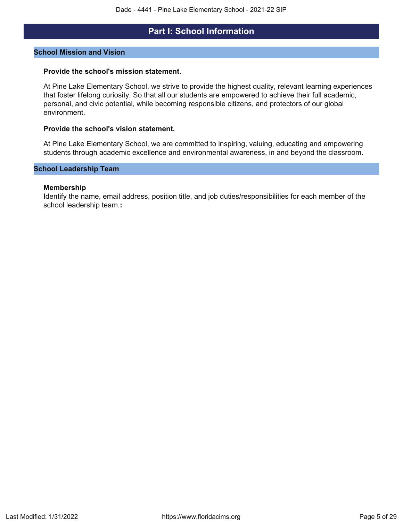## **Part I: School Information**

### <span id="page-4-0"></span>**School Mission and Vision**

### **Provide the school's mission statement.**

At Pine Lake Elementary School, we strive to provide the highest quality, relevant learning experiences that foster lifelong curiosity. So that all our students are empowered to achieve their full academic, personal, and civic potential, while becoming responsible citizens, and protectors of our global environment.

### **Provide the school's vision statement.**

At Pine Lake Elementary School, we are committed to inspiring, valuing, educating and empowering students through academic excellence and environmental awareness, in and beyond the classroom.

### **School Leadership Team**

### **Membership**

Identify the name, email address, position title, and job duties/responsibilities for each member of the school leadership team.**:**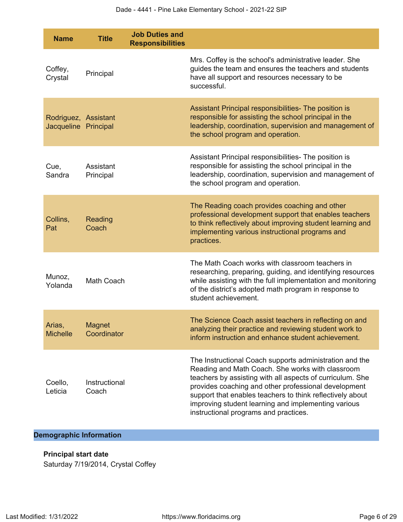| <b>Name</b>                                  | <b>Title</b>                 | <b>Job Duties and</b><br><b>Responsibilities</b> |                                                                                                                                                                                                                                                                                                                                                                                               |
|----------------------------------------------|------------------------------|--------------------------------------------------|-----------------------------------------------------------------------------------------------------------------------------------------------------------------------------------------------------------------------------------------------------------------------------------------------------------------------------------------------------------------------------------------------|
| Coffey,<br>Crystal                           | Principal                    |                                                  | Mrs. Coffey is the school's administrative leader. She<br>guides the team and ensures the teachers and students<br>have all support and resources necessary to be<br>successful.                                                                                                                                                                                                              |
| Rodriguez, Assistant<br>Jacqueline Principal |                              |                                                  | Assistant Principal responsibilities- The position is<br>responsible for assisting the school principal in the<br>leadership, coordination, supervision and management of<br>the school program and operation.                                                                                                                                                                                |
| Cue,<br>Sandra                               | Assistant<br>Principal       |                                                  | Assistant Principal responsibilities- The position is<br>responsible for assisting the school principal in the<br>leadership, coordination, supervision and management of<br>the school program and operation.                                                                                                                                                                                |
| Collins,<br>Pat                              | Reading<br>Coach             |                                                  | The Reading coach provides coaching and other<br>professional development support that enables teachers<br>to think reflectively about improving student learning and<br>implementing various instructional programs and<br>practices.                                                                                                                                                        |
| Munoz,<br>Yolanda                            | Math Coach                   |                                                  | The Math Coach works with classroom teachers in<br>researching, preparing, guiding, and identifying resources<br>while assisting with the full implementation and monitoring<br>of the district's adopted math program in response to<br>student achievement.                                                                                                                                 |
| Arias,<br><b>Michelle</b>                    | <b>Magnet</b><br>Coordinator |                                                  | The Science Coach assist teachers in reflecting on and<br>analyzing their practice and reviewing student work to<br>inform instruction and enhance student achievement.                                                                                                                                                                                                                       |
| Coello,<br>Leticia                           | Instructional<br>Coach       |                                                  | The Instructional Coach supports administration and the<br>Reading and Math Coach. She works with classroom<br>teachers by assisting with all aspects of curriculum. She<br>provides coaching and other professional development<br>support that enables teachers to think reflectively about<br>improving student learning and implementing various<br>instructional programs and practices. |

## **Demographic Information**

## **Principal start date**

Saturday 7/19/2014, Crystal Coffey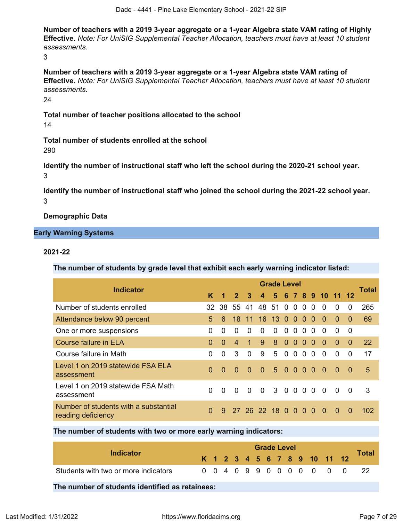**Number of teachers with a 2019 3-year aggregate or a 1-year Algebra state VAM rating of Highly Effective.** *Note: For UniSIG Supplemental Teacher Allocation, teachers must have at least 10 student assessments.*

3

**Number of teachers with a 2019 3-year aggregate or a 1-year Algebra state VAM rating of Effective.** *Note: For UniSIG Supplemental Teacher Allocation, teachers must have at least 10 student assessments.*

24

**Total number of teacher positions allocated to the school** 14

**Total number of students enrolled at the school** 290

**Identify the number of instructional staff who left the school during the 2020-21 school year.** 3

**Identify the number of instructional staff who joined the school during the 2021-22 school year.** 3

**Demographic Data**

## **Early Warning Systems**

## **2021-22**

**The number of students by grade level that exhibit each early warning indicator listed:**

| <b>Indicator</b>                                            |          |          |                |              |                 | <b>Grade Level</b> |           |           |           |          |                 |          |          | <b>Total</b> |
|-------------------------------------------------------------|----------|----------|----------------|--------------|-----------------|--------------------|-----------|-----------|-----------|----------|-----------------|----------|----------|--------------|
|                                                             | K        | 1        | $\overline{2}$ | $\mathbf{3}$ | 4 <sup>2</sup>  |                    |           |           |           |          | 5 6 7 8 9 10 11 |          | 12       |              |
| Number of students enrolled                                 |          | 32 38    | 55             | 41           | 48 51 0 0       |                    |           |           | $\Omega$  | $\Omega$ | $\Omega$        | $\Omega$ | $\Omega$ | 265          |
| Attendance below 90 percent                                 | 5        | 6        | 18             | 11           | 16 <sup>1</sup> | 13 <sub>0</sub>    |           | $\Omega$  | $\bullet$ | $\Omega$ | $\Omega$        | $\Omega$ | $\Omega$ | 69           |
| One or more suspensions                                     | 0        | 0        | $\Omega$       | $\Omega$     | $\Omega$        | $\Omega$           | $\Omega$  | $\Omega$  | $\Omega$  | $\Omega$ | 0               | 0        | $\Omega$ |              |
| Course failure in ELA                                       | $\Omega$ | $\Omega$ | $\overline{4}$ |              | 9               | 8                  | $\Omega$  | $\Omega$  | $\Omega$  | $\Omega$ | $\Omega$        | $\Omega$ | $\Omega$ | <b>22</b>    |
| Course failure in Math                                      | 0        | 0        | 3              | $\Omega$     | 9               | 5                  | $\Omega$  | $\Omega$  | $\Omega$  | $\Omega$ | 0               | 0        | $\Omega$ | 17           |
| Level 1 on 2019 statewide FSA ELA<br>assessment             | $\Omega$ | $\Omega$ | $\Omega$       | $\Omega$     | $\Omega$        | 5 <sup>1</sup>     | $\bullet$ | $\Omega$  | $\Omega$  | $\Omega$ | $\Omega$        | $\Omega$ | 0        | 5            |
| Level 1 on 2019 statewide FSA Math<br>assessment            | 0        | $\Omega$ | $\Omega$       | $\Omega$     | $\Omega$        | 3 0 0 0 0          |           |           |           |          | $\Omega$        | $\Omega$ | $\Omega$ | 3            |
| Number of students with a substantial<br>reading deficiency | $\Omega$ | 9        |                |              | 27 26 22 18 0   |                    |           | $\bullet$ | $\Omega$  | $\Omega$ | $\Omega$        | $\Omega$ | $\Omega$ | 102          |

**The number of students with two or more early warning indicators:**

| Indicator                            |  |  |  | <b>Grade Level</b> |  |                              |  | <b>Total</b> |
|--------------------------------------|--|--|--|--------------------|--|------------------------------|--|--------------|
|                                      |  |  |  |                    |  | K 1 2 3 4 5 6 7 8 9 10 11 12 |  |              |
| Students with two or more indicators |  |  |  |                    |  | 0 0 4 0 9 9 0 0 0 0 0 0 0    |  |              |

**The number of students identified as retainees:**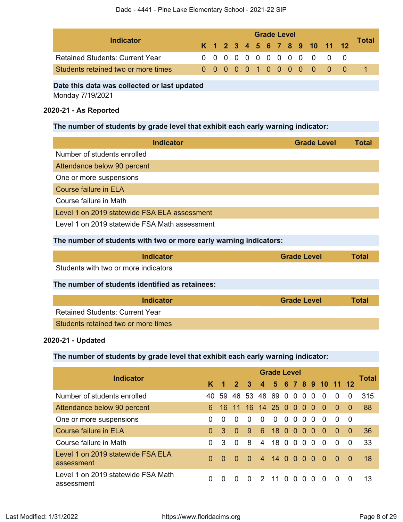| Indicator                              |  | <b>Grade Level</b> |  |  |  |  |  |  |  |  |  |                              |  |       |  |
|----------------------------------------|--|--------------------|--|--|--|--|--|--|--|--|--|------------------------------|--|-------|--|
|                                        |  |                    |  |  |  |  |  |  |  |  |  | K 1 2 3 4 5 6 7 8 9 10 11 12 |  | Total |  |
| <b>Retained Students: Current Year</b> |  |                    |  |  |  |  |  |  |  |  |  | 0 0 0 0 0 0 0 0 0 0 0 0 0    |  |       |  |
| Students retained two or more times    |  |                    |  |  |  |  |  |  |  |  |  | 0 0 0 0 0 1 0 0 0 0 0 0 0    |  |       |  |

### **Date this data was collected or last updated**

Monday 7/19/2021

## **2020-21 - As Reported**

## **The number of students by grade level that exhibit each early warning indicator:**

| <b>Indicator</b>                                                  | <b>Grade Level</b> | <b>Total</b> |
|-------------------------------------------------------------------|--------------------|--------------|
| Number of students enrolled                                       |                    |              |
| Attendance below 90 percent                                       |                    |              |
| One or more suspensions                                           |                    |              |
| Course failure in ELA                                             |                    |              |
| Course failure in Math                                            |                    |              |
| Level 1 on 2019 statewide FSA ELA assessment                      |                    |              |
| Level 1 on 2019 statewide FSA Math assessment                     |                    |              |
| The number of students with two or more early warning indicators: |                    |              |

| Indicator                                       | <b>Grade Level</b> | <b>Total</b> |
|-------------------------------------------------|--------------------|--------------|
| Students with two or more indicators            |                    |              |
| The number of students identified as retainees: |                    |              |

| Indicator                              | <b>Grade Level</b> | <b>Total</b> |
|----------------------------------------|--------------------|--------------|
| <b>Retained Students: Current Year</b> |                    |              |
| Students retained two or more times    |                    |              |

## **2020-21 - Updated**

## **The number of students by grade level that exhibit each early warning indicator:**

| <b>Indicator</b>                                 | <b>Grade Level</b> |                      |             |              |                |                 |          |          |                |                          |                      |              |          |              |
|--------------------------------------------------|--------------------|----------------------|-------------|--------------|----------------|-----------------|----------|----------|----------------|--------------------------|----------------------|--------------|----------|--------------|
|                                                  | K.                 | $\blacktriangleleft$ | $2 \quad 3$ |              |                |                 |          |          |                |                          | 4 5 6 7 8 9 10 11 12 |              |          | <b>Total</b> |
| Number of students enrolled                      | 40                 | 59                   | 46          | 53           | 48 69 0 0      |                 |          |          | - 0            | $\Omega$                 | $\Omega$             | $\Omega$     | $\Omega$ | 315          |
| Attendance below 90 percent                      | 6                  | 16.                  | 11          |              | 16 14 25 0 0 0 |                 |          |          |                | - 0                      | $\Omega$             | $\Omega$     | $\Omega$ | 88           |
| One or more suspensions                          | $\Omega$           | $\Omega$             | $\Omega$    | $\Omega$     | $\Omega$       | $\Omega$        | $\Omega$ | $\Omega$ | $\Omega$       | $\Omega$                 | 0                    | $\Omega$     | - 0      |              |
| <b>Course failure in ELA</b>                     | $\Omega$           | 3                    | $\Omega$    | 9            | 6              | 18 <sub>0</sub> |          | $\Omega$ | $\Omega$       | $\Omega$                 | $\Omega$             | $\Omega$     | $\Omega$ | 36           |
| Course failure in Math                           | 0                  | 3                    | $\Omega$    | 8            | $\overline{4}$ | 18 O            |          | 0        | $\overline{0}$ | $\Omega$                 | $\Omega$             | $\Omega$     | 0        | 33           |
| Level 1 on 2019 statewide FSA ELA<br>assessment  | $\Omega$           | $\Omega$             | $\Omega$    | $\Omega$     |                | 4 14 0          |          | 00       |                | $\overline{\phantom{0}}$ | - റ                  | - 0          | 0        | 18           |
| Level 1 on 2019 statewide FSA Math<br>assessment | 0                  | $\Omega$             | $\Omega$    | <sup>n</sup> | $\mathcal{P}$  | 11 O            |          | $\Omega$ | $\Omega$       | <sup>0</sup>             | $\Omega$             | <sup>0</sup> | $\Omega$ | 13           |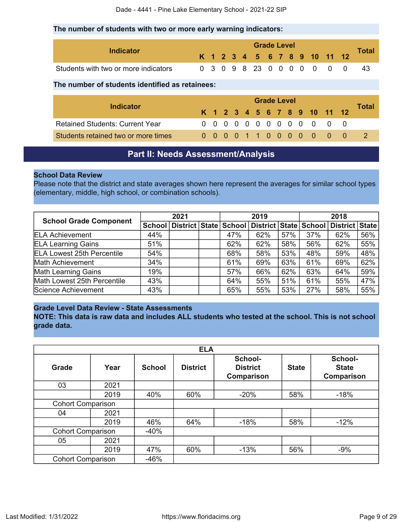### **The number of students with two or more early warning indicators:**

| Indicator                            |  |  | <b>Grade Level</b> |  |  |                              |  |                    |
|--------------------------------------|--|--|--------------------|--|--|------------------------------|--|--------------------|
|                                      |  |  |                    |  |  | K 1 2 3 4 5 6 7 8 9 10 11 12 |  | $\tau$ otal $\sim$ |
| Students with two or more indicators |  |  |                    |  |  | 0 3 0 9 8 23 0 0 0 0 0 0     |  | -43                |

### **The number of students identified as retainees:**

|                                        |  | <b>Grade Level</b> |  |  |  |  |  |  |  |  |  |                              |  |              |  |  |
|----------------------------------------|--|--------------------|--|--|--|--|--|--|--|--|--|------------------------------|--|--------------|--|--|
| Indicator                              |  |                    |  |  |  |  |  |  |  |  |  | K 1 2 3 4 5 6 7 8 9 10 11 12 |  | <b>Total</b> |  |  |
| <b>Retained Students: Current Year</b> |  |                    |  |  |  |  |  |  |  |  |  | 0 0 0 0 0 0 0 0 0 0 0 0 0    |  |              |  |  |
| Students retained two or more times    |  |                    |  |  |  |  |  |  |  |  |  | 0 0 0 0 1 1 0 0 0 0 0 0 0    |  |              |  |  |

## **Part II: Needs Assessment/Analysis**

## <span id="page-8-0"></span>**School Data Review**

Please note that the district and state averages shown here represent the averages for similar school types (elementary, middle, high school, or combination schools).

| <b>School Grade Component</b>     | 2021 |                                    | 2019 |     |                       | 2018 |     |                |     |
|-----------------------------------|------|------------------------------------|------|-----|-----------------------|------|-----|----------------|-----|
|                                   |      | School   District   State   School |      |     | District State School |      |     | District State |     |
| <b>ELA Achievement</b>            | 44%  |                                    |      | 47% | 62%                   | 57%  | 37% | 62%            | 56% |
| <b>ELA Learning Gains</b>         | 51%  |                                    |      | 62% | 62%                   | 58%  | 56% | 62%            | 55% |
| <b>ELA Lowest 25th Percentile</b> | 54%  |                                    |      | 68% | 58%                   | 53%  | 48% | 59%            | 48% |
| Math Achievement                  | 34%  |                                    |      | 61% | 69%                   | 63%  | 61% | 69%            | 62% |
| <b>Math Learning Gains</b>        | 19%  |                                    |      | 57% | 66%                   | 62%  | 63% | 64%            | 59% |
| Math Lowest 25th Percentile       | 43%  |                                    |      | 64% | 55%                   | 51%  | 61% | 55%            | 47% |
| Science Achievement               | 43%  |                                    |      | 65% | 55%                   | 53%  | 27% | 58%            | 55% |

## **Grade Level Data Review - State Assessments**

**NOTE: This data is raw data and includes ALL students who tested at the school. This is not school grade data.**

|                          |                          |               | <b>ELA</b>      |                                          |              |                                       |
|--------------------------|--------------------------|---------------|-----------------|------------------------------------------|--------------|---------------------------------------|
| <b>Grade</b>             | Year                     | <b>School</b> | <b>District</b> | School-<br><b>District</b><br>Comparison | <b>State</b> | School-<br><b>State</b><br>Comparison |
| 03                       | 2021                     |               |                 |                                          |              |                                       |
|                          | 2019                     | 40%           | 60%             | $-20%$                                   | 58%          | $-18%$                                |
| <b>Cohort Comparison</b> |                          |               |                 |                                          |              |                                       |
| 04                       | 2021                     |               |                 |                                          |              |                                       |
|                          | 2019                     | 46%           | 64%             | $-18%$                                   | 58%          | $-12%$                                |
|                          | <b>Cohort Comparison</b> |               |                 |                                          |              |                                       |
| 05                       | 2021                     |               |                 |                                          |              |                                       |
|                          | 2019                     | 47%           | 60%             | $-13%$                                   | 56%          | $-9%$                                 |
| <b>Cohort Comparison</b> |                          | $-46%$        |                 |                                          |              |                                       |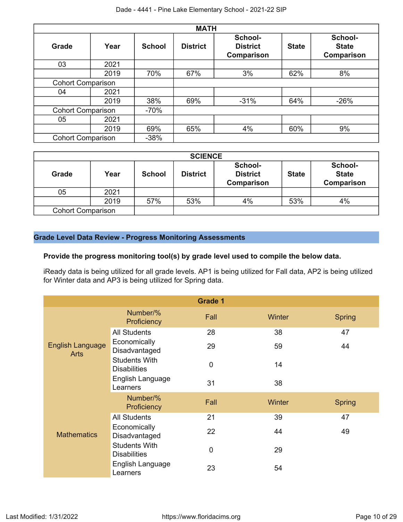|                          |                          |               | <b>MATH</b>     |                                          |              |                                              |
|--------------------------|--------------------------|---------------|-----------------|------------------------------------------|--------------|----------------------------------------------|
| <b>Grade</b>             | Year                     | <b>School</b> | <b>District</b> | School-<br><b>District</b><br>Comparison | <b>State</b> | School-<br><b>State</b><br><b>Comparison</b> |
| 03                       | 2021                     |               |                 |                                          |              |                                              |
|                          | 2019                     | 70%           | 67%             | 3%                                       | 62%          | 8%                                           |
| <b>Cohort Comparison</b> |                          |               |                 |                                          |              |                                              |
| 04                       | 2021                     |               |                 |                                          |              |                                              |
|                          | 2019                     | 38%           | 69%             | $-31%$                                   | 64%          | $-26%$                                       |
|                          | <b>Cohort Comparison</b> |               |                 |                                          |              |                                              |
| 05                       | 2021                     |               |                 |                                          |              |                                              |
|                          | 2019                     | 69%           | 65%             | 4%                                       | 60%          | 9%                                           |
| <b>Cohort Comparison</b> |                          | $-38%$        |                 |                                          |              |                                              |

|                          |      |               | <b>SCIENCE</b>  |                                                 |              |                                              |
|--------------------------|------|---------------|-----------------|-------------------------------------------------|--------------|----------------------------------------------|
| <b>Grade</b>             | Year | <b>School</b> | <b>District</b> | School-<br><b>District</b><br><b>Comparison</b> | <b>State</b> | School-<br><b>State</b><br><b>Comparison</b> |
| 05                       | 2021 |               |                 |                                                 |              |                                              |
|                          | 2019 | 57%           | 53%             | 4%                                              | 53%          | 4%                                           |
| <b>Cohort Comparison</b> |      |               |                 |                                                 |              |                                              |

## **Grade Level Data Review - Progress Monitoring Assessments**

## **Provide the progress monitoring tool(s) by grade level used to compile the below data.**

iReady data is being utilized for all grade levels. AP1 is being utilized for Fall data, AP2 is being utilized for Winter data and AP3 is being utilized for Spring data.

|                                        |                                             | <b>Grade 1</b> |        |               |
|----------------------------------------|---------------------------------------------|----------------|--------|---------------|
|                                        | Number/%<br>Proficiency                     | Fall           | Winter | <b>Spring</b> |
|                                        | <b>All Students</b>                         | 28             | 38     | 47            |
| <b>English Language</b><br><b>Arts</b> | Economically<br>Disadvantaged               | 29             | 59     | 44            |
|                                        | <b>Students With</b><br><b>Disabilities</b> | $\mathbf 0$    | 14     |               |
|                                        | English Language<br>Learners                | 31             | 38     |               |
|                                        | Number/%<br>Proficiency                     | Fall           | Winter | <b>Spring</b> |
|                                        | <b>All Students</b>                         | 21             | 39     | 47            |
| <b>Mathematics</b>                     | Economically<br>Disadvantaged               | 22             | 44     | 49            |
|                                        | <b>Students With</b><br><b>Disabilities</b> | 0              | 29     |               |
|                                        | English Language<br>Learners                | 23             | 54     |               |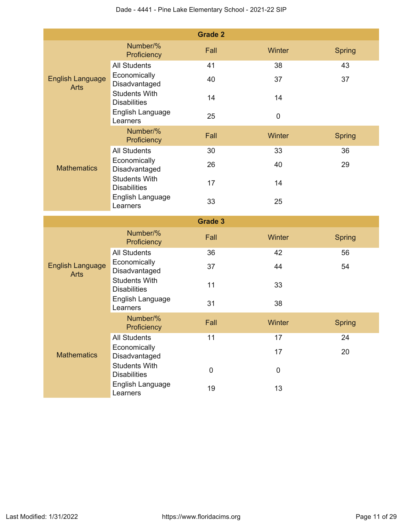|                                        |                                                                 | <b>Grade 2</b> |           |               |
|----------------------------------------|-----------------------------------------------------------------|----------------|-----------|---------------|
|                                        | Number/%<br>Proficiency                                         | Fall           | Winter    | <b>Spring</b> |
|                                        | <b>All Students</b>                                             | 41             | 38        | 43            |
| <b>English Language</b><br><b>Arts</b> | Economically<br>Disadvantaged                                   | 40             | 37        | 37            |
|                                        | <b>Students With</b><br><b>Disabilities</b>                     | 14             | 14        |               |
|                                        | English Language<br>Learners                                    | 25             | $\pmb{0}$ |               |
|                                        | Number/%<br>Proficiency                                         | Fall           | Winter    | <b>Spring</b> |
|                                        | <b>All Students</b>                                             | 30             | 33        | 36            |
| <b>Mathematics</b>                     | Economically<br>Disadvantaged                                   | 26             | 40        | 29            |
|                                        | <b>Students With</b><br><b>Disabilities</b>                     | 17             | 14        |               |
|                                        | English Language<br>Learners                                    | 33             | 25        |               |
|                                        |                                                                 | <b>Grade 3</b> |           |               |
|                                        | Number/%<br>Proficiency                                         | Fall           | Winter    | <b>Spring</b> |
|                                        | <b>All Students</b>                                             | 36             | 42        | 56            |
| <b>English Language</b><br><b>Arts</b> | Economically<br>Disadvantaged                                   | 37             | 44        | 54            |
|                                        | <b>Students With</b><br><b>Disabilities</b>                     | 11             | 33        |               |
|                                        |                                                                 |                |           |               |
|                                        | English Language<br>Learners                                    | 31             | 38        |               |
|                                        | Number/%<br>Proficiency                                         | Fall           | Winter    | <b>Spring</b> |
|                                        | <b>All Students</b>                                             | 11             | 17        | 24            |
| <b>Mathematics</b>                     | Economically<br>Disadvantaged                                   |                | 17        | 20            |
|                                        | <b>Students With</b><br><b>Disabilities</b><br>English Language | $\pmb{0}$      | $\pmb{0}$ |               |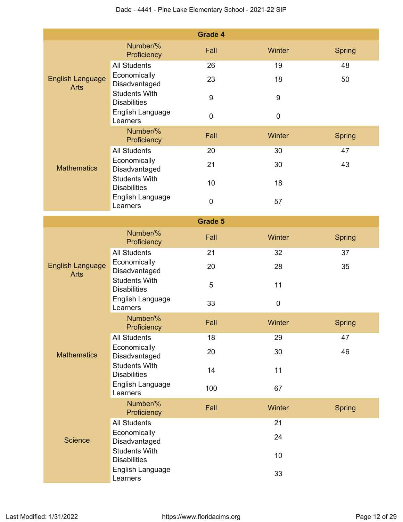|                                        |                                             | <b>Grade 4</b>   |                  |               |
|----------------------------------------|---------------------------------------------|------------------|------------------|---------------|
|                                        | Number/%<br>Proficiency                     | Fall             | Winter           | <b>Spring</b> |
|                                        | <b>All Students</b>                         | 26               | 19               | 48            |
| <b>English Language</b><br><b>Arts</b> | Economically<br>Disadvantaged               | 23               | 18               | 50            |
|                                        | <b>Students With</b><br><b>Disabilities</b> | $\boldsymbol{9}$ | $\boldsymbol{9}$ |               |
|                                        | English Language<br>Learners                | $\pmb{0}$        | $\mathbf 0$      |               |
|                                        | Number/%<br>Proficiency                     | Fall             | Winter           | <b>Spring</b> |
|                                        | <b>All Students</b>                         | 20               | 30               | 47            |
| <b>Mathematics</b>                     | Economically<br>Disadvantaged               | 21               | 30               | 43            |
|                                        | <b>Students With</b><br><b>Disabilities</b> | 10               | 18               |               |
|                                        | English Language<br>Learners                | $\pmb{0}$        | 57               |               |
|                                        |                                             | <b>Grade 5</b>   |                  |               |
|                                        | Number/%<br>Proficiency                     | Fall             | Winter           | <b>Spring</b> |
|                                        | <b>All Students</b>                         | 21               | 32               | 37            |
| <b>English Language</b><br><b>Arts</b> | Economically<br>Disadvantaged               | 20               | 28               | 35            |
|                                        | <b>Students With</b><br><b>Disabilities</b> | 5                | 11               |               |
|                                        | English Language<br>Learners                | 33               | $\pmb{0}$        |               |
|                                        | Number/%<br>Proficiency                     | Fall             | Winter           | Spring        |
|                                        | <b>All Students</b>                         | 18               | 29               | 47            |
| <b>Mathematics</b>                     | Economically<br>Disadvantaged               | 20               | 30               | 46            |
|                                        | <b>Students With</b><br><b>Disabilities</b> | 14               | 11               |               |
|                                        | English Language<br>Learners                | 100              | 67               |               |
|                                        | Number/%<br>Proficiency                     | Fall             | Winter           | <b>Spring</b> |
|                                        | <b>All Students</b>                         |                  | 21               |               |
| <b>Science</b>                         | Economically<br>Disadvantaged               |                  | 24               |               |
|                                        | <b>Students With</b><br><b>Disabilities</b> |                  | 10               |               |
|                                        | English Language<br>Learners                |                  | 33               |               |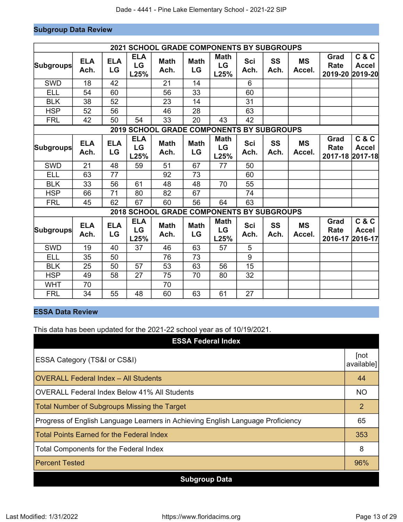## **Subgroup Data Review**

|                  |                    |                  |                                 | <b>2021 SCHOOL GRADE COMPONENTS BY SUBGROUPS</b> |                   |                                      |                    |                   |                     |                                        |                       |
|------------------|--------------------|------------------|---------------------------------|--------------------------------------------------|-------------------|--------------------------------------|--------------------|-------------------|---------------------|----------------------------------------|-----------------------|
| <b>Subgroups</b> | <b>ELA</b><br>Ach. | <b>ELA</b><br>LG | <b>ELA</b><br><b>LG</b><br>L25% | <b>Math</b><br>Ach.                              | <b>Math</b><br>LG | <b>Math</b><br>LG<br>L25%            | <b>Sci</b><br>Ach. | <b>SS</b><br>Ach. | <b>MS</b><br>Accel. | Grad<br><b>Rate</b><br>2019-20 2019-20 | C & C<br><b>Accel</b> |
| <b>SWD</b>       | 18                 | 42               |                                 | 21                                               | 14                |                                      | 6                  |                   |                     |                                        |                       |
| <b>ELL</b>       | 54                 | 60               |                                 | 56                                               | 33                |                                      | 60                 |                   |                     |                                        |                       |
| <b>BLK</b>       | 38                 | 52               |                                 | 23                                               | 14                |                                      | 31                 |                   |                     |                                        |                       |
| <b>HSP</b>       | 52                 | 56               |                                 | 46                                               | 28                |                                      | 63                 |                   |                     |                                        |                       |
| <b>FRL</b>       | 42                 | 50               | 54                              | 33                                               | 20                | 43                                   | 42                 |                   |                     |                                        |                       |
|                  |                    |                  |                                 | 2019 SCHOOL GRADE COMPONENTS BY SUBGROUPS        |                   |                                      |                    |                   |                     |                                        |                       |
| <b>Subgroups</b> | <b>ELA</b><br>Ach. | <b>ELA</b><br>LG | <b>ELA</b><br>LG<br>L25%        | <b>Math</b><br>Ach.                              | <b>Math</b><br>LG | <b>Math</b><br>LG<br>L25%            | <b>Sci</b><br>Ach. | <b>SS</b><br>Ach. | <b>MS</b><br>Accel. | Grad<br><b>Rate</b><br>2017-18 2017-18 | C & C<br><b>Accel</b> |
| <b>SWD</b>       | 21                 | 48               | 59                              | 51                                               | 67                | 77                                   | 50                 |                   |                     |                                        |                       |
| <b>ELL</b>       | 63                 | 77               |                                 | 92                                               | 73                |                                      | 60                 |                   |                     |                                        |                       |
| <b>BLK</b>       | 33                 | 56               | 61                              | 48                                               | 48                | 70                                   | 55                 |                   |                     |                                        |                       |
| <b>HSP</b>       | 66                 | 71               | 80                              | 82                                               | 67                |                                      | 74                 |                   |                     |                                        |                       |
| <b>FRL</b>       | 45                 | 62               | 67                              | 60                                               | 56                | 64                                   | 63                 |                   |                     |                                        |                       |
|                  |                    |                  | 2018 SCHOOL                     |                                                  |                   | <b>GRADE COMPONENTS BY SUBGROUPS</b> |                    |                   |                     |                                        |                       |
| <b>Subgroups</b> | <b>ELA</b><br>Ach. | <b>ELA</b><br>LG | <b>ELA</b><br>LG<br>L25%        | <b>Math</b><br>Ach.                              | <b>Math</b><br>LG | <b>Math</b><br>LG<br>L25%            | <b>Sci</b><br>Ach. | SS<br>Ach.        | <b>MS</b><br>Accel. | Grad<br>Rate<br>2016-17 2016-17        | C & C<br><b>Accel</b> |
| SWD              | 19                 | 40               | 37                              | 46                                               | 63                | 57                                   | 5                  |                   |                     |                                        |                       |
| <b>ELL</b>       | 35                 | 50               |                                 | 76                                               | 73                |                                      | 9                  |                   |                     |                                        |                       |
| <b>BLK</b>       | 25                 | 50               | 57                              | 53                                               | 63                | 56                                   | 15                 |                   |                     |                                        |                       |
| <b>HSP</b>       | 49                 | 58               | 27                              | 75                                               | 70                | 80                                   | 32                 |                   |                     |                                        |                       |
| <b>WHT</b>       | 70                 |                  |                                 | 70                                               |                   |                                      |                    |                   |                     |                                        |                       |
| <b>FRL</b>       | 34                 | 55               | 48                              | 60                                               | 63                | 61                                   | 27                 |                   |                     |                                        |                       |

## **ESSA Data Review**

This data has been updated for the 2021-22 school year as of 10/19/2021.

| <b>ESSA Federal Index</b>                                                       |                    |
|---------------------------------------------------------------------------------|--------------------|
| ESSA Category (TS&I or CS&I)                                                    | [not<br>available] |
| <b>OVERALL Federal Index - All Students</b>                                     | 44                 |
| <b>OVERALL Federal Index Below 41% All Students</b>                             | <b>NO</b>          |
| Total Number of Subgroups Missing the Target                                    | $\overline{2}$     |
| Progress of English Language Learners in Achieving English Language Proficiency | 65                 |
| <b>Total Points Earned for the Federal Index</b>                                | 353                |
| <b>Total Components for the Federal Index</b>                                   | 8                  |
| <b>Percent Tested</b>                                                           | 96%                |
| <b>Subgroup Data</b>                                                            |                    |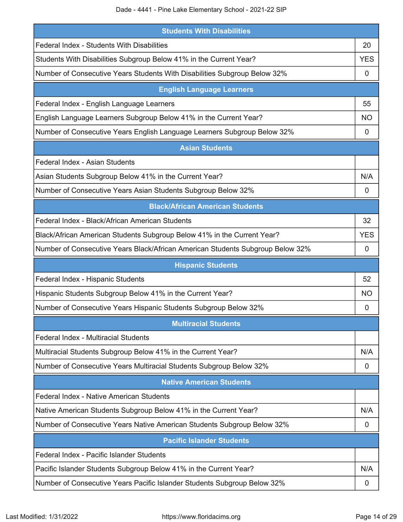Dade - 4441 - Pine Lake Elementary School - 2021-22 SIP

| <b>Students With Disabilities</b>                                              |            |
|--------------------------------------------------------------------------------|------------|
| Federal Index - Students With Disabilities                                     | 20         |
| Students With Disabilities Subgroup Below 41% in the Current Year?             | <b>YES</b> |
| Number of Consecutive Years Students With Disabilities Subgroup Below 32%      | 0          |
| <b>English Language Learners</b>                                               |            |
| Federal Index - English Language Learners                                      | 55         |
| English Language Learners Subgroup Below 41% in the Current Year?              | NO.        |
| Number of Consecutive Years English Language Learners Subgroup Below 32%       | 0          |
| <b>Asian Students</b>                                                          |            |
| Federal Index - Asian Students                                                 |            |
| Asian Students Subgroup Below 41% in the Current Year?                         | N/A        |
| Number of Consecutive Years Asian Students Subgroup Below 32%                  | 0          |
| <b>Black/African American Students</b>                                         |            |
| Federal Index - Black/African American Students                                | 32         |
| Black/African American Students Subgroup Below 41% in the Current Year?        | <b>YES</b> |
| Number of Consecutive Years Black/African American Students Subgroup Below 32% | 0          |
| <b>Hispanic Students</b>                                                       |            |
| Federal Index - Hispanic Students                                              | 52         |
| Hispanic Students Subgroup Below 41% in the Current Year?                      | NO         |
| Number of Consecutive Years Hispanic Students Subgroup Below 32%               | 0          |
| <b>Multiracial Students</b>                                                    |            |
| <b>Federal Index - Multiracial Students</b>                                    |            |
| Multiracial Students Subgroup Below 41% in the Current Year?                   | N/A        |
| Number of Consecutive Years Multiracial Students Subgroup Below 32%            | 0          |
| <b>Native American Students</b>                                                |            |
| Federal Index - Native American Students                                       |            |
| Native American Students Subgroup Below 41% in the Current Year?               | N/A        |
|                                                                                |            |
| Number of Consecutive Years Native American Students Subgroup Below 32%        | 0          |
| <b>Pacific Islander Students</b>                                               |            |
| Federal Index - Pacific Islander Students                                      |            |
| Pacific Islander Students Subgroup Below 41% in the Current Year?              | N/A        |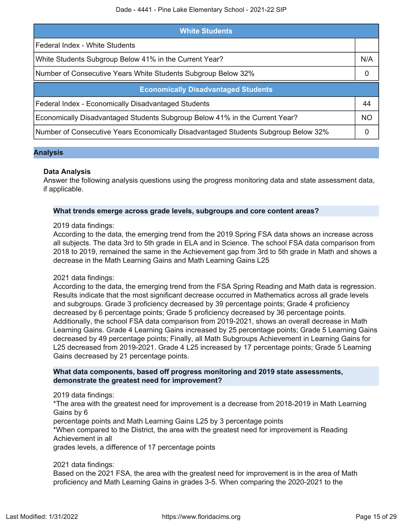| <b>White Students</b>                                                              |           |  |  |  |
|------------------------------------------------------------------------------------|-----------|--|--|--|
| Federal Index - White Students                                                     |           |  |  |  |
| White Students Subgroup Below 41% in the Current Year?                             | N/A       |  |  |  |
| Number of Consecutive Years White Students Subgroup Below 32%                      | $\Omega$  |  |  |  |
| <b>Economically Disadvantaged Students</b>                                         |           |  |  |  |
| Federal Index - Economically Disadvantaged Students                                | 44        |  |  |  |
| Economically Disadvantaged Students Subgroup Below 41% in the Current Year?        | <b>NO</b> |  |  |  |
| Number of Consecutive Years Economically Disadvantaged Students Subgroup Below 32% | $\Omega$  |  |  |  |

### **Analysis**

### **Data Analysis**

Answer the following analysis questions using the progress monitoring data and state assessment data, if applicable.

### **What trends emerge across grade levels, subgroups and core content areas?**

### 2019 data findings:

According to the data, the emerging trend from the 2019 Spring FSA data shows an increase across all subjects. The data 3rd to 5th grade in ELA and in Science. The school FSA data comparison from 2018 to 2019, remained the same in the Achievement gap from 3rd to 5th grade in Math and shows a decrease in the Math Learning Gains and Math Learning Gains L25

### 2021 data findings:

According to the data, the emerging trend from the FSA Spring Reading and Math data is regression. Results indicate that the most significant decrease occurred in Mathematics across all grade levels and subgroups. Grade 3 proficiency decreased by 39 percentage points; Grade 4 proficiency decreased by 6 percentage points; Grade 5 proficiency decreased by 36 percentage points. Additionally, the school FSA data comparison from 2019-2021, shows an overall decrease in Math Learning Gains. Grade 4 Learning Gains increased by 25 percentage points; Grade 5 Learning Gains decreased by 49 percentage points; Finally, all Math Subgroups Achievement in Learning Gains for L25 decreased from 2019-2021. Grade 4 L25 increased by 17 percentage points; Grade 5 Learning Gains decreased by 21 percentage points.

### **What data components, based off progress monitoring and 2019 state assessments, demonstrate the greatest need for improvement?**

2019 data findings:

\*The area with the greatest need for improvement is a decrease from 2018-2019 in Math Learning Gains by 6

percentage points and Math Learning Gains L25 by 3 percentage points

\*When compared to the District, the area with the greatest need for improvement is Reading Achievement in all

grades levels, a difference of 17 percentage points

### 2021 data findings:

Based on the 2021 FSA, the area with the greatest need for improvement is in the area of Math proficiency and Math Learning Gains in grades 3-5. When comparing the 2020-2021 to the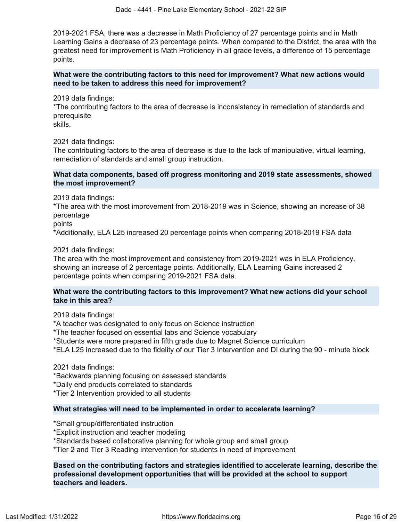2019-2021 FSA, there was a decrease in Math Proficiency of 27 percentage points and in Math Learning Gains a decrease of 23 percentage points. When compared to the District, the area with the greatest need for improvement is Math Proficiency in all grade levels, a difference of 15 percentage points.

**What were the contributing factors to this need for improvement? What new actions would need to be taken to address this need for improvement?**

2019 data findings:

\*The contributing factors to the area of decrease is inconsistency in remediation of standards and prerequisite

skills.

2021 data findings:

The contributing factors to the area of decrease is due to the lack of manipulative, virtual learning, remediation of standards and small group instruction.

### **What data components, based off progress monitoring and 2019 state assessments, showed the most improvement?**

2019 data findings:

\*The area with the most improvement from 2018-2019 was in Science, showing an increase of 38 percentage

points

\*Additionally, ELA L25 increased 20 percentage points when comparing 2018-2019 FSA data

2021 data findings:

The area with the most improvement and consistency from 2019-2021 was in ELA Proficiency, showing an increase of 2 percentage points. Additionally, ELA Learning Gains increased 2 percentage points when comparing 2019-2021 FSA data.

### **What were the contributing factors to this improvement? What new actions did your school take in this area?**

2019 data findings:

\*A teacher was designated to only focus on Science instruction

\*The teacher focused on essential labs and Science vocabulary

\*Students were more prepared in fifth grade due to Magnet Science curriculum

\*ELA L25 increased due to the fidelity of our Tier 3 Intervention and DI during the 90 - minute block

2021 data findings:

\*Backwards planning focusing on assessed standards

\*Daily end products correlated to standards

\*Tier 2 Intervention provided to all students

### **What strategies will need to be implemented in order to accelerate learning?**

\*Small group/differentiated instruction

\*Explicit instruction and teacher modeling

\*Standards based collaborative planning for whole group and small group

\*Tier 2 and Tier 3 Reading Intervention for students in need of improvement

**Based on the contributing factors and strategies identified to accelerate learning, describe the professional development opportunities that will be provided at the school to support teachers and leaders.**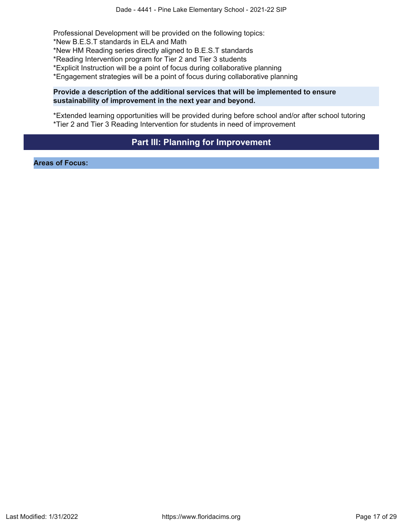Professional Development will be provided on the following topics: \*New B.E.S.T standards in ELA and Math

\*New HM Reading series directly aligned to B.E.S.T standards

\*Reading Intervention program for Tier 2 and Tier 3 students

\*Explicit Instruction will be a point of focus during collaborative planning

\*Engagement strategies will be a point of focus during collaborative planning

### **Provide a description of the additional services that will be implemented to ensure sustainability of improvement in the next year and beyond.**

\*Extended learning opportunities will be provided during before school and/or after school tutoring \*Tier 2 and Tier 3 Reading Intervention for students in need of improvement

## **Part III: Planning for Improvement**

<span id="page-16-0"></span>**Areas of Focus:**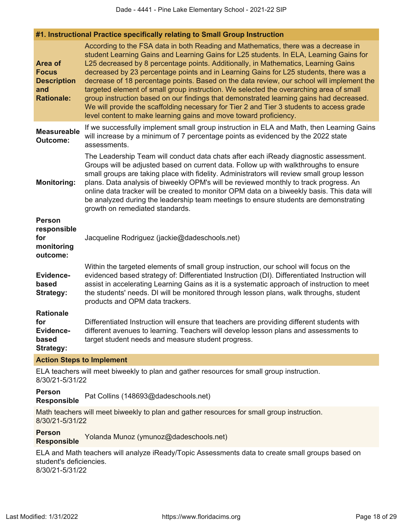**#1. Instructional Practice specifically relating to Small Group Instruction**

| <b>Area of</b><br><b>Focus</b><br><b>Description</b><br>and<br><b>Rationale:</b> | According to the FSA data in both Reading and Mathematics, there was a decrease in<br>student Learning Gains and Learning Gains for L25 students. In ELA, Learning Gains for<br>L25 decreased by 8 percentage points. Additionally, in Mathematics, Learning Gains<br>decreased by 23 percentage points and in Learning Gains for L25 students, there was a<br>decrease of 18 percentage points. Based on the data review, our school will implement the<br>targeted element of small group instruction. We selected the overarching area of small<br>group instruction based on our findings that demonstrated learning gains had decreased.<br>We will provide the scaffolding necessary for Tier 2 and Tier 3 students to access grade<br>level content to make learning gains and move toward proficiency. |
|----------------------------------------------------------------------------------|----------------------------------------------------------------------------------------------------------------------------------------------------------------------------------------------------------------------------------------------------------------------------------------------------------------------------------------------------------------------------------------------------------------------------------------------------------------------------------------------------------------------------------------------------------------------------------------------------------------------------------------------------------------------------------------------------------------------------------------------------------------------------------------------------------------|
| <b>Measureable</b><br>Outcome:                                                   | If we successfully implement small group instruction in ELA and Math, then Learning Gains<br>will increase by a minimum of 7 percentage points as evidenced by the 2022 state<br>assessments.                                                                                                                                                                                                                                                                                                                                                                                                                                                                                                                                                                                                                  |
| <b>Monitoring:</b>                                                               | The Leadership Team will conduct data chats after each iReady diagnostic assessment.<br>Groups will be adjusted based on current data. Follow up with walkthroughs to ensure<br>small groups are taking place with fidelity. Administrators will review small group lesson<br>plans. Data analysis of biweekly OPM's will be reviewed monthly to track progress. An<br>online data tracker will be created to monitor OPM data on a biweekly basis. This data will<br>be analyzed during the leadership team meetings to ensure students are demonstrating<br>growth on remediated standards.                                                                                                                                                                                                                  |
| <b>Person</b><br>responsible<br>for<br>monitoring<br>outcome:                    | Jacqueline Rodriguez (jackie@dadeschools.net)                                                                                                                                                                                                                                                                                                                                                                                                                                                                                                                                                                                                                                                                                                                                                                  |
| <b>Evidence-</b><br>based<br><b>Strategy:</b>                                    | Within the targeted elements of small group instruction, our school will focus on the<br>evidenced based strategy of: Differentiated Instruction (DI). Differentiated Instruction will<br>assist in accelerating Learning Gains as it is a systematic approach of instruction to meet<br>the students' needs. DI will be monitored through lesson plans, walk throughs, student<br>products and OPM data trackers.                                                                                                                                                                                                                                                                                                                                                                                             |
| <b>Rationale</b><br>for<br>Evidence-<br>based<br><b>Strategy:</b>                | Differentiated Instruction will ensure that teachers are providing different students with<br>different avenues to learning. Teachers will develop lesson plans and assessments to<br>target student needs and measure student progress.                                                                                                                                                                                                                                                                                                                                                                                                                                                                                                                                                                       |
|                                                                                  |                                                                                                                                                                                                                                                                                                                                                                                                                                                                                                                                                                                                                                                                                                                                                                                                                |

### **Action Steps to Implement**

ELA teachers will meet biweekly to plan and gather resources for small group instruction. 8/30/21-5/31/22

### **Person Responsible** Pat Collins (148693@dadeschools.net)

Math teachers will meet biweekly to plan and gather resources for small group instruction. 8/30/21-5/31/22

**Person**

**Responsible** Yolanda Munoz (ymunoz@dadeschools.net)

ELA and Math teachers will analyze iReady/Topic Assessments data to create small groups based on student's deficiencies. 8/30/21-5/31/22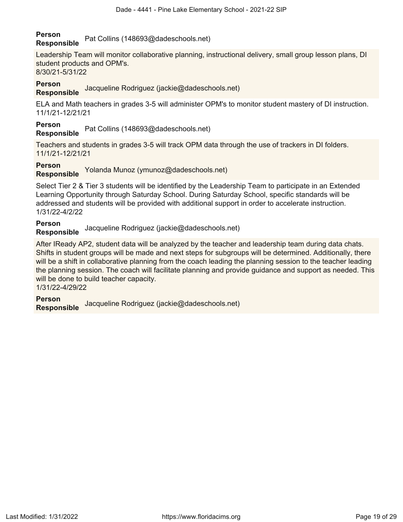### **Person Responsible** Pat Collins (148693@dadeschools.net)

Leadership Team will monitor collaborative planning, instructional delivery, small group lesson plans, DI student products and OPM's. 8/30/21-5/31/22

## **Person**

## **Responsible** Jacqueline Rodriguez (jackie@dadeschools.net)

ELA and Math teachers in grades 3-5 will administer OPM's to monitor student mastery of DI instruction. 11/1/21-12/21/21

### **Person**

**Responsible** Pat Collins (148693@dadeschools.net)

Teachers and students in grades 3-5 will track OPM data through the use of trackers in DI folders. 11/1/21-12/21/21

### **Person**

**Responsible** Yolanda Munoz (ymunoz@dadeschools.net)

Select Tier 2 & Tier 3 students will be identified by the Leadership Team to participate in an Extended Learning Opportunity through Saturday School. During Saturday School, specific standards will be addressed and students will be provided with additional support in order to accelerate instruction. 1/31/22-4/2/22

### **Person Responsible** Jacqueline Rodriguez (jackie@dadeschools.net)

After IReady AP2, student data will be analyzed by the teacher and leadership team during data chats. Shifts in student groups will be made and next steps for subgroups will be determined. Additionally, there will be a shift in collaborative planning from the coach leading the planning session to the teacher leading the planning session. The coach will facilitate planning and provide guidance and support as needed. This will be done to build teacher capacity. 1/31/22-4/29/22

**Person Responsible** Jacqueline Rodriguez (jackie@dadeschools.net)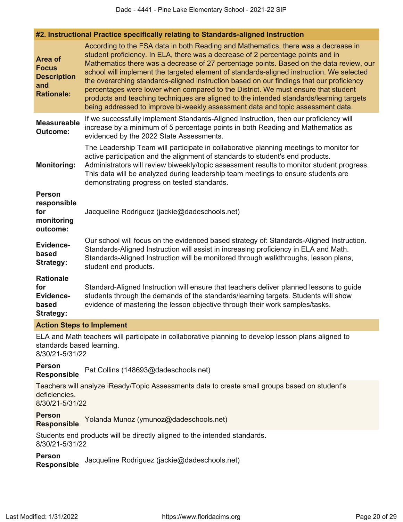### **#2. Instructional Practice specifically relating to Standards-aligned Instruction**

| Area of<br><b>Focus</b><br><b>Description</b><br>and<br><b>Rationale:</b> | According to the FSA data in both Reading and Mathematics, there was a decrease in<br>student proficiency. In ELA, there was a decrease of 2 percentage points and in<br>Mathematics there was a decrease of 27 percentage points. Based on the data review, our<br>school will implement the targeted element of standards-aligned instruction. We selected<br>the overarching standards-aligned instruction based on our findings that our proficiency<br>percentages were lower when compared to the District. We must ensure that student<br>products and teaching techniques are aligned to the intended standards/learning targets<br>being addressed to improve bi-weekly assessment data and topic assessment data. |
|---------------------------------------------------------------------------|-----------------------------------------------------------------------------------------------------------------------------------------------------------------------------------------------------------------------------------------------------------------------------------------------------------------------------------------------------------------------------------------------------------------------------------------------------------------------------------------------------------------------------------------------------------------------------------------------------------------------------------------------------------------------------------------------------------------------------|
| <b>Measureable</b><br><b>Outcome:</b>                                     | If we successfully implement Standards-Aligned Instruction, then our proficiency will<br>increase by a minimum of 5 percentage points in both Reading and Mathematics as<br>evidenced by the 2022 State Assessments.                                                                                                                                                                                                                                                                                                                                                                                                                                                                                                        |
| <b>Monitoring:</b>                                                        | The Leadership Team will participate in collaborative planning meetings to monitor for<br>active participation and the alignment of standards to student's end products.<br>Administrators will review biweekly/topic assessment results to monitor student progress.<br>This data will be analyzed during leadership team meetings to ensure students are<br>demonstrating progress on tested standards.                                                                                                                                                                                                                                                                                                                   |
| <b>Person</b><br>responsible<br>for<br>monitoring<br>outcome:             | Jacqueline Rodriguez (jackie@dadeschools.net)                                                                                                                                                                                                                                                                                                                                                                                                                                                                                                                                                                                                                                                                               |
| <b>Evidence-</b><br>based<br><b>Strategy:</b>                             | Our school will focus on the evidenced based strategy of: Standards-Aligned Instruction.<br>Standards-Aligned Instruction will assist in increasing proficiency in ELA and Math.<br>Standards-Aligned Instruction will be monitored through walkthroughs, lesson plans,<br>student end products.                                                                                                                                                                                                                                                                                                                                                                                                                            |
| <b>Rationale</b><br>for<br><b>Evidence-</b><br>based<br><b>Strategy:</b>  | Standard-Aligned Instruction will ensure that teachers deliver planned lessons to guide<br>students through the demands of the standards/learning targets. Students will show<br>evidence of mastering the lesson objective through their work samples/tasks.                                                                                                                                                                                                                                                                                                                                                                                                                                                               |
| <b>Action Steps to Implement</b>                                          |                                                                                                                                                                                                                                                                                                                                                                                                                                                                                                                                                                                                                                                                                                                             |
|                                                                           | ELA and Math teachers will participate in collaborative planning to develop lesson plans aligned to                                                                                                                                                                                                                                                                                                                                                                                                                                                                                                                                                                                                                         |

standards based learning. 8/30/21-5/31/22

**Person Responsible** Pat Collins (148693@dadeschools.net)

Teachers will analyze iReady/Topic Assessments data to create small groups based on student's deficiencies.

8/30/21-5/31/22

**Person Responsible** Yolanda Munoz (ymunoz@dadeschools.net)

Students end products will be directly aligned to the intended standards. 8/30/21-5/31/22

**Person**

**Responsible** Jacqueline Rodriguez (jackie@dadeschools.net)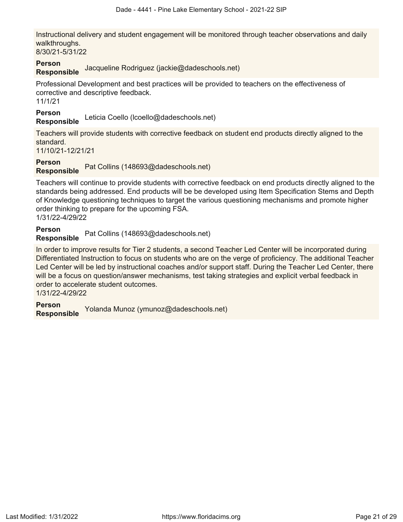Instructional delivery and student engagement will be monitored through teacher observations and daily walkthroughs.

8/30/21-5/31/22

#### **Person Responsible** Jacqueline Rodriguez (jackie@dadeschools.net)

Professional Development and best practices will be provided to teachers on the effectiveness of corrective and descriptive feedback.

11/1/21

**Person**

**Responsible** Leticia Coello (lcoello@dadeschools.net)

Teachers will provide students with corrective feedback on student end products directly aligned to the standard.

11/10/21-12/21/21

# **Person**

**Responsible** Pat Collins (148693@dadeschools.net)

Teachers will continue to provide students with corrective feedback on end products directly aligned to the standards being addressed. End products will be be developed using Item Specification Stems and Depth of Knowledge questioning techniques to target the various questioning mechanisms and promote higher order thinking to prepare for the upcoming FSA. 1/31/22-4/29/22

**Person**

**Responsible** Pat Collins (148693@dadeschools.net)

In order to improve results for Tier 2 students, a second Teacher Led Center will be incorporated during Differentiated Instruction to focus on students who are on the verge of proficiency. The additional Teacher Led Center will be led by instructional coaches and/or support staff. During the Teacher Led Center, there will be a focus on question/answer mechanisms, test taking strategies and explicit verbal feedback in order to accelerate student outcomes.

1/31/22-4/29/22

**Person Responsible** Yolanda Munoz (ymunoz@dadeschools.net)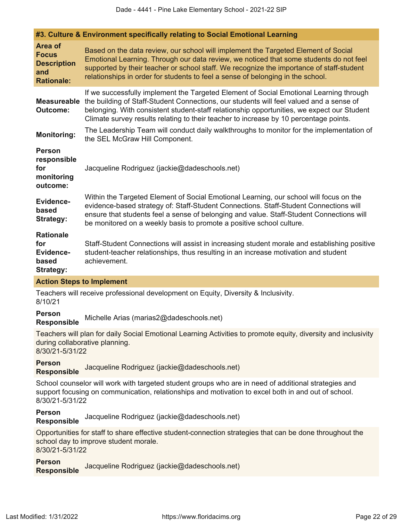|                                                                                  | #3. Culture & Environment specifically relating to Social Emotional Learning                                                                                                                                                                                                                                                                                             |
|----------------------------------------------------------------------------------|--------------------------------------------------------------------------------------------------------------------------------------------------------------------------------------------------------------------------------------------------------------------------------------------------------------------------------------------------------------------------|
| <b>Area of</b><br><b>Focus</b><br><b>Description</b><br>and<br><b>Rationale:</b> | Based on the data review, our school will implement the Targeted Element of Social<br>Emotional Learning. Through our data review, we noticed that some students do not feel<br>supported by their teacher or school staff. We recognize the importance of staff-student<br>relationships in order for students to feel a sense of belonging in the school.              |
| <b>Measureable</b><br><b>Outcome:</b>                                            | If we successfully implement the Targeted Element of Social Emotional Learning through<br>the building of Staff-Student Connections, our students will feel valued and a sense of<br>belonging. With consistent student-staff relationship opportunities, we expect our Student<br>Climate survey results relating to their teacher to increase by 10 percentage points. |
| <b>Monitoring:</b>                                                               | The Leadership Team will conduct daily walkthroughs to monitor for the implementation of<br>the SEL McGraw Hill Component.                                                                                                                                                                                                                                               |
| <b>Person</b><br>responsible<br>for<br>monitoring<br>outcome:                    | Jacqueline Rodriguez (jackie@dadeschools.net)                                                                                                                                                                                                                                                                                                                            |
| <b>Evidence-</b><br>based<br>Strategy:                                           | Within the Targeted Element of Social Emotional Learning, our school will focus on the<br>evidence-based strategy of: Staff-Student Connections. Staff-Student Connections will<br>ensure that students feel a sense of belonging and value. Staff-Student Connections will<br>be monitored on a weekly basis to promote a positive school culture.                      |
| <b>Rationale</b><br>for<br><b>Evidence-</b><br>based<br><b>Strategy:</b>         | Staff-Student Connections will assist in increasing student morale and establishing positive<br>student-teacher relationships, thus resulting in an increase motivation and student<br>achievement.                                                                                                                                                                      |

### **Action Steps to Implement**

Teachers will receive professional development on Equity, Diversity & Inclusivity. 8/10/21

**Person**

**Responsible** Michelle Arias (marias2@dadeschools.net)

Teachers will plan for daily Social Emotional Learning Activities to promote equity, diversity and inclusivity during collaborative planning. 8/30/21-5/31/22

**Person Responsible** Jacqueline Rodriguez (jackie@dadeschools.net)

School counselor will work with targeted student groups who are in need of additional strategies and support focusing on communication, relationships and motivation to excel both in and out of school. 8/30/21-5/31/22

## **Person**

**Responsible** Jacqueline Rodriguez (jackie@dadeschools.net)

Opportunities for staff to share effective student-connection strategies that can be done throughout the school day to improve student morale. 8/30/21-5/31/22

**Person Responsible** Jacqueline Rodriguez (jackie@dadeschools.net)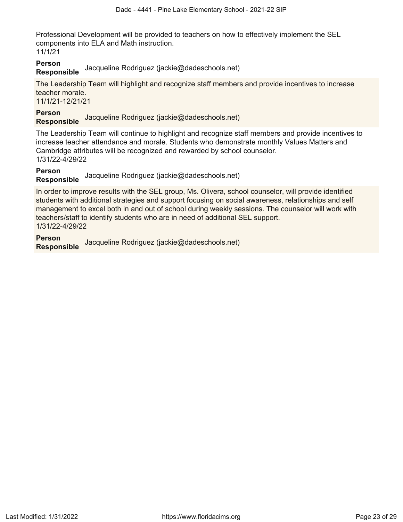Professional Development will be provided to teachers on how to effectively implement the SEL components into ELA and Math instruction.

11/1/21

### **Person Responsible** Jacqueline Rodriguez (jackie@dadeschools.net)

The Leadership Team will highlight and recognize staff members and provide incentives to increase teacher morale.

11/1/21-12/21/21

## **Person**

**Responsible** Jacqueline Rodriguez (jackie@dadeschools.net)

The Leadership Team will continue to highlight and recognize staff members and provide incentives to increase teacher attendance and morale. Students who demonstrate monthly Values Matters and Cambridge attributes will be recognized and rewarded by school counselor. 1/31/22-4/29/22

## **Person**

**Responsible** Jacqueline Rodriguez (jackie@dadeschools.net)

In order to improve results with the SEL group, Ms. Olivera, school counselor, will provide identified students with additional strategies and support focusing on social awareness, relationships and self management to excel both in and out of school during weekly sessions. The counselor will work with teachers/staff to identify students who are in need of additional SEL support. 1/31/22-4/29/22

**Person**

**Responsible** Jacqueline Rodriguez (jackie@dadeschools.net)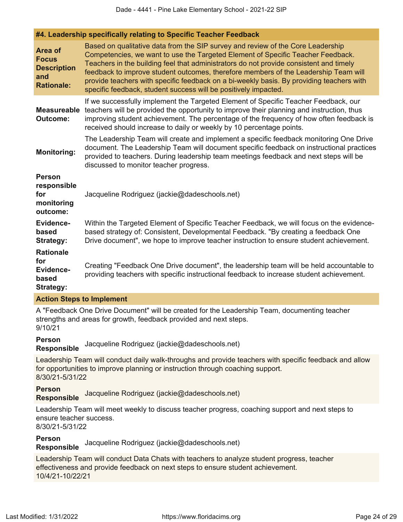### **#4. Leadership specifically relating to Specific Teacher Feedback**

| Area of<br><b>Focus</b><br><b>Description</b><br>and<br><b>Rationale:</b> | Based on qualitative data from the SIP survey and review of the Core Leadership<br>Competencies, we want to use the Targeted Element of Specific Teacher Feedback.<br>Teachers in the building feel that administrators do not provide consistent and timely<br>feedback to improve student outcomes, therefore members of the Leadership Team will<br>provide teachers with specific feedback on a bi-weekly basis. By providing teachers with<br>specific feedback, student success will be positively impacted. |
|---------------------------------------------------------------------------|--------------------------------------------------------------------------------------------------------------------------------------------------------------------------------------------------------------------------------------------------------------------------------------------------------------------------------------------------------------------------------------------------------------------------------------------------------------------------------------------------------------------|
| <b>Measureable</b><br><b>Outcome:</b>                                     | If we successfully implement the Targeted Element of Specific Teacher Feedback, our<br>teachers will be provided the opportunity to improve their planning and instruction, thus<br>improving student achievement. The percentage of the frequency of how often feedback is<br>received should increase to daily or weekly by 10 percentage points.                                                                                                                                                                |
| <b>Monitoring:</b>                                                        | The Leadership Team will create and implement a specific feedback monitoring One Drive<br>document. The Leadership Team will document specific feedback on instructional practices<br>provided to teachers. During leadership team meetings feedback and next steps will be<br>discussed to monitor teacher progress.                                                                                                                                                                                              |
| <b>Person</b><br>responsible<br>for<br>monitoring<br>outcome:             | Jacqueline Rodriguez (jackie@dadeschools.net)                                                                                                                                                                                                                                                                                                                                                                                                                                                                      |
| <b>Evidence-</b><br>based<br><b>Strategy:</b>                             | Within the Targeted Element of Specific Teacher Feedback, we will focus on the evidence-<br>based strategy of: Consistent, Developmental Feedback. "By creating a feedback One<br>Drive document", we hope to improve teacher instruction to ensure student achievement.                                                                                                                                                                                                                                           |
| <b>Rationale</b><br>for<br><b>Evidence-</b><br>based<br><b>Strategy:</b>  | Creating "Feedback One Drive document", the leadership team will be held accountable to<br>providing teachers with specific instructional feedback to increase student achievement.                                                                                                                                                                                                                                                                                                                                |

### **Action Steps to Implement**

A "Feedback One Drive Document" will be created for the Leadership Team, documenting teacher strengths and areas for growth, feedback provided and next steps. 9/10/21

### **Person**

**Responsible** Jacqueline Rodriguez (jackie@dadeschools.net)

Leadership Team will conduct daily walk-throughs and provide teachers with specific feedback and allow for opportunities to improve planning or instruction through coaching support. 8/30/21-5/31/22

### **Person Responsible** Jacqueline Rodriguez (jackie@dadeschools.net)

Leadership Team will meet weekly to discuss teacher progress, coaching support and next steps to ensure teacher success.

8/30/21-5/31/22

### **Person**

**Responsible** Jacqueline Rodriguez (jackie@dadeschools.net)

Leadership Team will conduct Data Chats with teachers to analyze student progress, teacher effectiveness and provide feedback on next steps to ensure student achievement.

10/4/21-10/22/21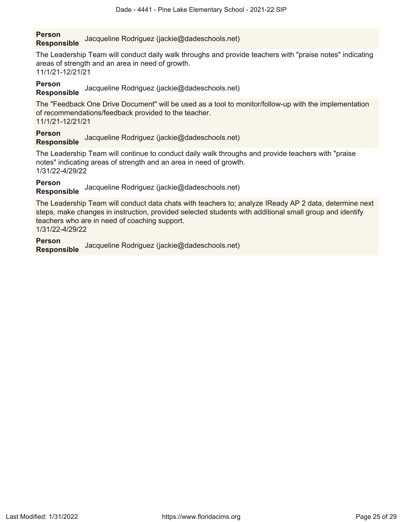### **Person Responsible** Jacqueline Rodriguez (jackie@dadeschools.net)

The Leadership Team will conduct daily walk throughs and provide teachers with "praise notes" indicating areas of strength and an area in need of growth. 11/1/21-12/21/21

## **Person**

**Responsible** Jacqueline Rodriguez (jackie@dadeschools.net)

The "Feedback One Drive Document" will be used as a tool to monitor/follow-up with the implementation of recommendations/feedback provided to the teacher. 11/1/21-12/21/21

## **Person**

**Responsible** Jacqueline Rodriguez (jackie@dadeschools.net)

The Leadership Team will continue to conduct daily walk throughs and provide teachers with "praise notes" indicating areas of strength and an area in need of growth. 1/31/22-4/29/22

**Person**

**Responsible** Jacqueline Rodriguez (jackie@dadeschools.net)

The Leadership Team will conduct data chats with teachers to; analyze IReady AP 2 data, determine next steps, make changes in instruction, provided selected students with additional small group and identify teachers who are in need of coaching support. 1/31/22-4/29/22

**Person**

**Responsible** Jacqueline Rodriguez (jackie@dadeschools.net)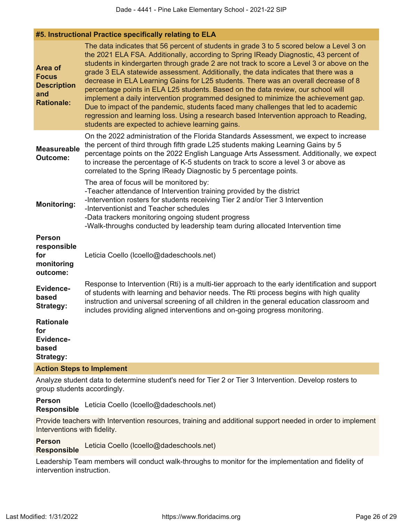| <b>Area of</b><br><b>Focus</b><br><b>Description</b><br>and<br><b>Rationale:</b> | The data indicates that 56 percent of students in grade 3 to 5 scored below a Level 3 on<br>the 2021 ELA FSA. Additionally, according to Spring IReady Diagnostic, 43 percent of<br>students in kindergarten through grade 2 are not track to score a Level 3 or above on the<br>grade 3 ELA statewide assessment. Additionally, the data indicates that there was a<br>decrease in ELA Learning Gains for L25 students. There was an overall decrease of 8<br>percentage points in ELA L25 students. Based on the data review, our school will<br>implement a daily intervention programmed designed to minimize the achievement gap.<br>Due to impact of the pandemic, students faced many challenges that led to academic<br>regression and learning loss. Using a research based Intervention approach to Reading,<br>students are expected to achieve learning gains. |  |  |
|----------------------------------------------------------------------------------|----------------------------------------------------------------------------------------------------------------------------------------------------------------------------------------------------------------------------------------------------------------------------------------------------------------------------------------------------------------------------------------------------------------------------------------------------------------------------------------------------------------------------------------------------------------------------------------------------------------------------------------------------------------------------------------------------------------------------------------------------------------------------------------------------------------------------------------------------------------------------|--|--|
| <b>Measureable</b><br><b>Outcome:</b>                                            | On the 2022 administration of the Florida Standards Assessment, we expect to increase<br>the percent of third through fifth grade L25 students making Learning Gains by 5<br>percentage points on the 2022 English Language Arts Assessment. Additionally, we expect<br>to increase the percentage of K-5 students on track to score a level 3 or above as<br>correlated to the Spring IReady Diagnostic by 5 percentage points.                                                                                                                                                                                                                                                                                                                                                                                                                                           |  |  |
| <b>Monitoring:</b>                                                               | The area of focus will be monitored by:<br>-Teacher attendance of Intervention training provided by the district<br>-Intervention rosters for students receiving Tier 2 and/or Tier 3 Intervention<br>-Interventionist and Teacher schedules<br>-Data trackers monitoring ongoing student progress<br>-Walk-throughs conducted by leadership team during allocated Intervention time                                                                                                                                                                                                                                                                                                                                                                                                                                                                                       |  |  |
| <b>Person</b><br>responsible<br>for<br>monitoring<br>outcome:                    | Leticia Coello (Icoello@dadeschools.net)                                                                                                                                                                                                                                                                                                                                                                                                                                                                                                                                                                                                                                                                                                                                                                                                                                   |  |  |
| Evidence-<br>based<br><b>Strategy:</b>                                           | Response to Intervention (Rti) is a multi-tier approach to the early identification and support<br>of students with learning and behavior needs. The Rti process begins with high quality<br>instruction and universal screening of all children in the general education classroom and<br>includes providing aligned interventions and on-going progress monitoring.                                                                                                                                                                                                                                                                                                                                                                                                                                                                                                      |  |  |
| <b>Rationale</b><br>for<br>Evidence-<br>based<br>Strategy:                       |                                                                                                                                                                                                                                                                                                                                                                                                                                                                                                                                                                                                                                                                                                                                                                                                                                                                            |  |  |
|                                                                                  | <b>Action Steps to Implement</b>                                                                                                                                                                                                                                                                                                                                                                                                                                                                                                                                                                                                                                                                                                                                                                                                                                           |  |  |

Analyze student data to determine student's need for Tier 2 or Tier 3 Intervention. Develop rosters to group students accordingly.

**Person Responsible** Leticia Coello (lcoello@dadeschools.net)

Provide teachers with Intervention resources, training and additional support needed in order to implement Interventions with fidelity.

**Person**

**Responsible** Leticia Coello (lcoello@dadeschools.net)

Leadership Team members will conduct walk-throughs to monitor for the implementation and fidelity of intervention instruction.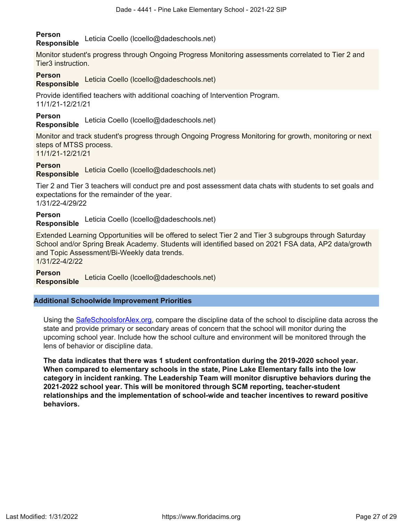# **Person**

**Responsible** Leticia Coello (lcoello@dadeschools.net)

Monitor student's progress through Ongoing Progress Monitoring assessments correlated to Tier 2 and Tier3 instruction.

## **Person**

**Responsible** Leticia Coello (lcoello@dadeschools.net)

Provide identified teachers with additional coaching of Intervention Program. 11/1/21-12/21/21

## **Person**

**Responsible** Leticia Coello (lcoello@dadeschools.net)

Monitor and track student's progress through Ongoing Progress Monitoring for growth, monitoring or next steps of MTSS process.

11/1/21-12/21/21

## **Person**

**Responsible** Leticia Coello (lcoello@dadeschools.net)

Tier 2 and Tier 3 teachers will conduct pre and post assessment data chats with students to set goals and expectations for the remainder of the year. 1/31/22-4/29/22

**Person**

**Responsible** Leticia Coello (lcoello@dadeschools.net)

Extended Learning Opportunities will be offered to select Tier 2 and Tier 3 subgroups through Saturday School and/or Spring Break Academy. Students will identified based on 2021 FSA data, AP2 data/growth and Topic Assessment/Bi-Weekly data trends. 1/31/22-4/2/22

**Person**

**Responsible** Leticia Coello (lcoello@dadeschools.net)

## **Additional Schoolwide Improvement Priorities**

Using the [SafeSchoolsforAlex.org](https://www.safeschoolsforalex.org/fl-school-safety-dashboard/), compare the discipline data of the school to discipline data across the state and provide primary or secondary areas of concern that the school will monitor during the upcoming school year. Include how the school culture and environment will be monitored through the lens of behavior or discipline data.

**The data indicates that there was 1 student confrontation during the 2019-2020 school year. When compared to elementary schools in the state, Pine Lake Elementary falls into the low category in incident ranking. The Leadership Team will monitor disruptive behaviors during the 2021-2022 school year. This will be monitored through SCM reporting, teacher-student relationships and the implementation of school-wide and teacher incentives to reward positive behaviors.**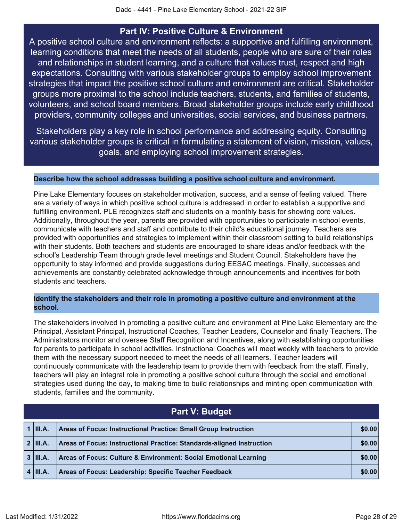## **Part IV: Positive Culture & Environment**

<span id="page-27-0"></span>A positive school culture and environment reflects: a supportive and fulfilling environment, learning conditions that meet the needs of all students, people who are sure of their roles and relationships in student learning, and a culture that values trust, respect and high expectations. Consulting with various stakeholder groups to employ school improvement strategies that impact the positive school culture and environment are critical. Stakeholder groups more proximal to the school include teachers, students, and families of students, volunteers, and school board members. Broad stakeholder groups include early childhood providers, community colleges and universities, social services, and business partners.

Stakeholders play a key role in school performance and addressing equity. Consulting various stakeholder groups is critical in formulating a statement of vision, mission, values, goals, and employing school improvement strategies.

### **Describe how the school addresses building a positive school culture and environment.**

Pine Lake Elementary focuses on stakeholder motivation, success, and a sense of feeling valued. There are a variety of ways in which positive school culture is addressed in order to establish a supportive and fulfilling environment. PLE recognizes staff and students on a monthly basis for showing core values. Additionally, throughout the year, parents are provided with opportunities to participate in school events, communicate with teachers and staff and contribute to their child's educational journey. Teachers are provided with opportunities and strategies to implement within their classroom setting to build relationships with their students. Both teachers and students are encouraged to share ideas and/or feedback with the school's Leadership Team through grade level meetings and Student Council. Stakeholders have the opportunity to stay informed and provide suggestions during EESAC meetings. Finally, successes and achievements are constantly celebrated acknowledge through announcements and incentives for both students and teachers.

### **Identify the stakeholders and their role in promoting a positive culture and environment at the school.**

The stakeholders involved in promoting a positive culture and environment at Pine Lake Elementary are the Principal, Assistant Principal, Instructional Coaches, Teacher Leaders, Counselor and finally Teachers. The Administrators monitor and oversee Staff Recognition and Incentives, along with establishing opportunities for parents to participate in school activities. Instructional Coaches will meet weekly with teachers to provide them with the necessary support needed to meet the needs of all learners. Teacher leaders will continuously communicate with the leadership team to provide them with feedback from the staff. Finally, teachers will play an integral role in promoting a positive school culture through the social and emotional strategies used during the day, to making time to build relationships and minting open communication with students, families and the community.

<span id="page-27-1"></span>

| Part V: Budget |                                                                        |        |  |
|----------------|------------------------------------------------------------------------|--------|--|
| $1$ III.A.     | <b>Areas of Focus: Instructional Practice: Small Group Instruction</b> | \$0.00 |  |
| $2$ III.A.     | Areas of Focus: Instructional Practice: Standards-aligned Instruction  | \$0.00 |  |
| $3$ III.A.     | Areas of Focus: Culture & Environment: Social Emotional Learning       | \$0.00 |  |
| $4$   III.A.   | <b>Areas of Focus: Leadership: Specific Teacher Feedback</b>           | \$0.00 |  |